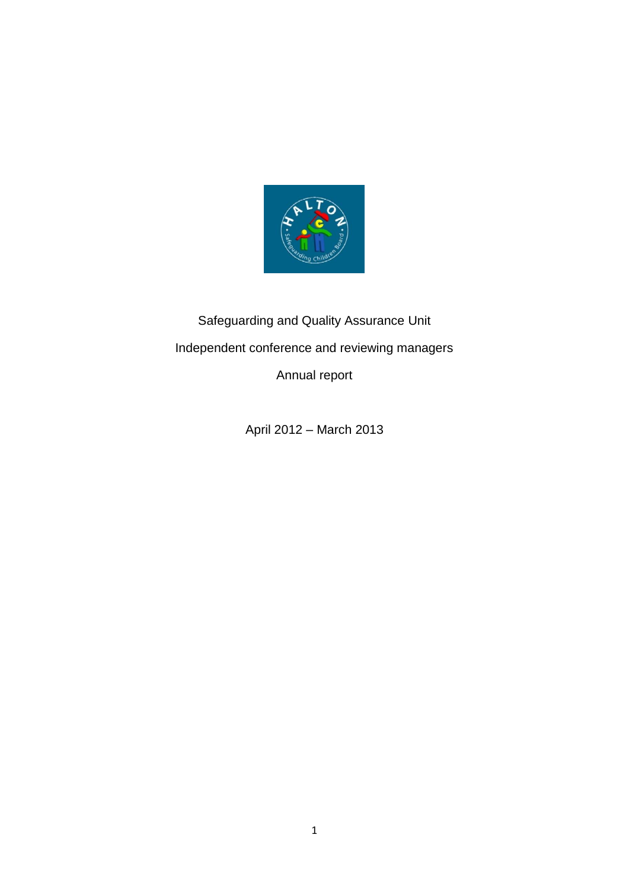

# Safeguarding and Quality Assurance Unit Independent conference and reviewing managers

Annual report

April 2012 – March 2013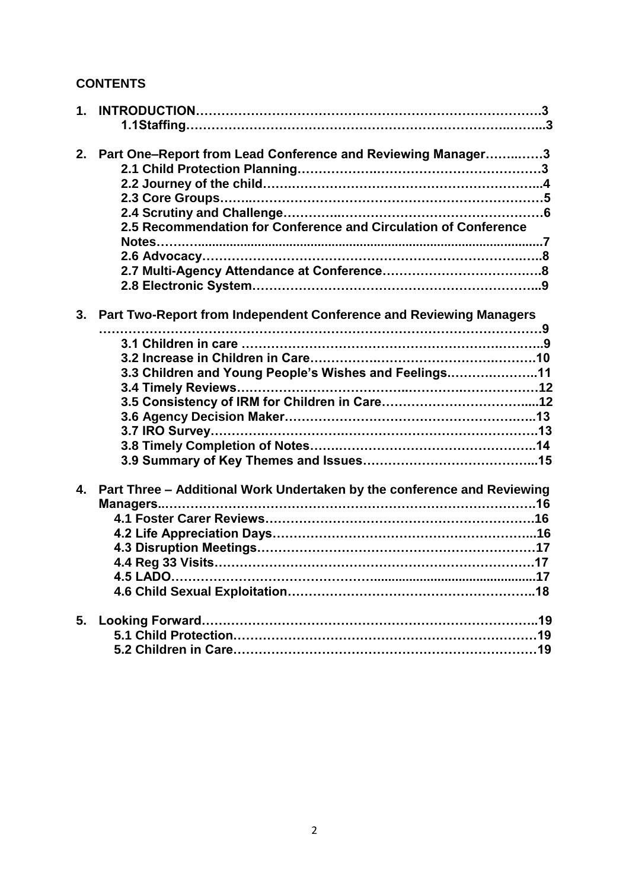# **CONTENTS**

| 2.             | Part One-Report from Lead Conference and Reviewing Manager3             |
|----------------|-------------------------------------------------------------------------|
|                |                                                                         |
|                |                                                                         |
|                | 2.5 Recommendation for Conference and Circulation of Conference         |
|                |                                                                         |
|                |                                                                         |
| 3.             | Part Two-Report from Independent Conference and Reviewing Managers      |
|                |                                                                         |
|                |                                                                         |
|                | 3.3 Children and Young People's Wishes and Feelings11                   |
|                |                                                                         |
|                |                                                                         |
|                |                                                                         |
|                |                                                                         |
|                |                                                                         |
|                |                                                                         |
| 4 <sub>1</sub> | Part Three - Additional Work Undertaken by the conference and Reviewing |
|                |                                                                         |
|                |                                                                         |
|                |                                                                         |
|                |                                                                         |
|                |                                                                         |
|                |                                                                         |
| 5.             |                                                                         |
|                |                                                                         |
|                |                                                                         |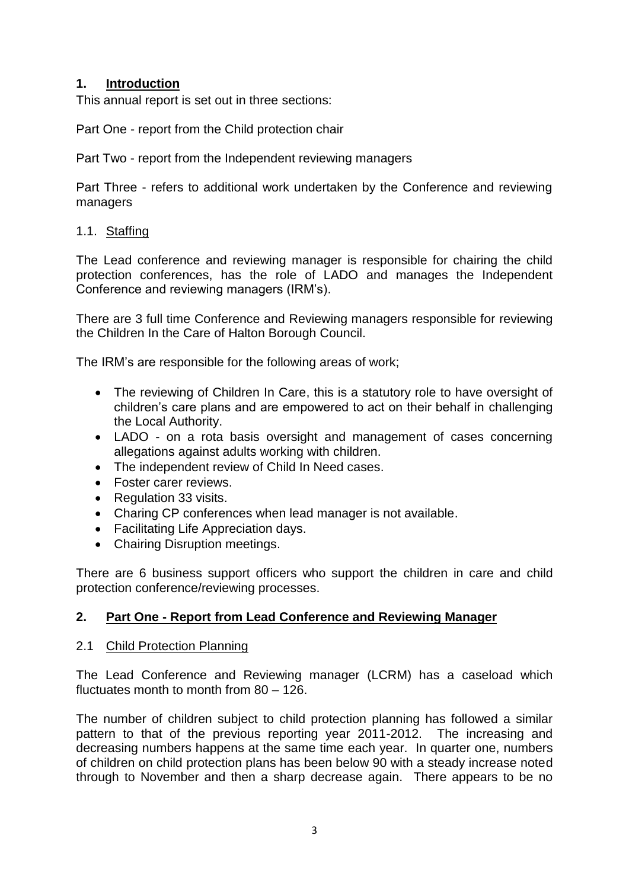## **1. Introduction**

This annual report is set out in three sections:

Part One - report from the Child protection chair

Part Two - report from the Independent reviewing managers

Part Three - refers to additional work undertaken by the Conference and reviewing managers

## 1.1. Staffing

The Lead conference and reviewing manager is responsible for chairing the child protection conferences, has the role of LADO and manages the Independent Conference and reviewing managers (IRM's).

There are 3 full time Conference and Reviewing managers responsible for reviewing the Children In the Care of Halton Borough Council.

The IRM's are responsible for the following areas of work;

- The reviewing of Children In Care, this is a statutory role to have oversight of children's care plans and are empowered to act on their behalf in challenging the Local Authority.
- LADO on a rota basis oversight and management of cases concerning allegations against adults working with children.
- The independent review of Child In Need cases.
- Foster carer reviews.
- Regulation 33 visits.
- Charing CP conferences when lead manager is not available.
- Facilitating Life Appreciation days.
- Chairing Disruption meetings.

There are 6 business support officers who support the children in care and child protection conference/reviewing processes.

#### **2. Part One - Report from Lead Conference and Reviewing Manager**

#### 2.1 Child Protection Planning

The Lead Conference and Reviewing manager (LCRM) has a caseload which fluctuates month to month from 80 – 126.

The number of children subject to child protection planning has followed a similar pattern to that of the previous reporting year 2011-2012. The increasing and decreasing numbers happens at the same time each year. In quarter one, numbers of children on child protection plans has been below 90 with a steady increase noted through to November and then a sharp decrease again. There appears to be no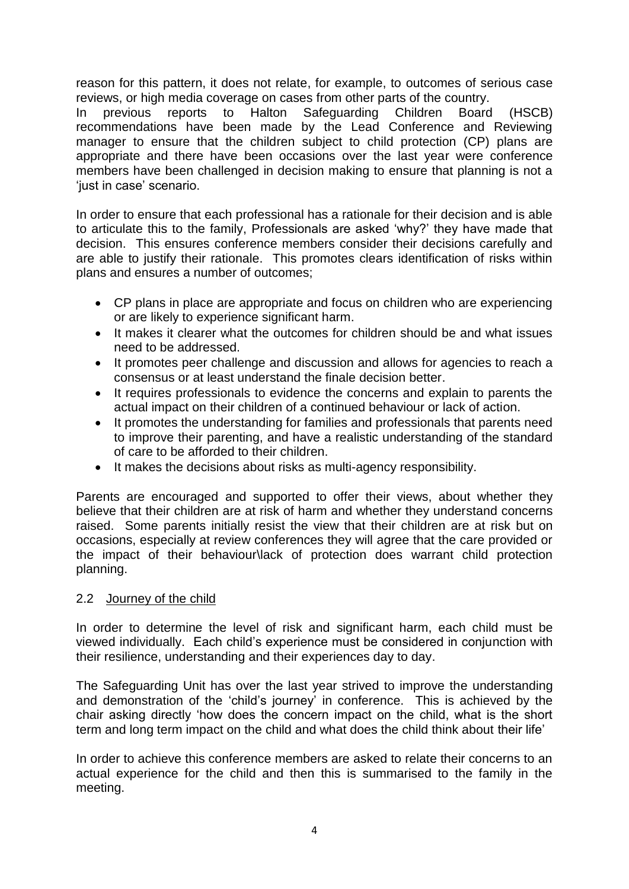reason for this pattern, it does not relate, for example, to outcomes of serious case reviews, or high media coverage on cases from other parts of the country.

In previous reports to Halton Safeguarding Children Board (HSCB) recommendations have been made by the Lead Conference and Reviewing manager to ensure that the children subject to child protection (CP) plans are appropriate and there have been occasions over the last year were conference members have been challenged in decision making to ensure that planning is not a 'just in case' scenario.

In order to ensure that each professional has a rationale for their decision and is able to articulate this to the family, Professionals are asked 'why?' they have made that decision. This ensures conference members consider their decisions carefully and are able to justify their rationale. This promotes clears identification of risks within plans and ensures a number of outcomes;

- CP plans in place are appropriate and focus on children who are experiencing or are likely to experience significant harm.
- It makes it clearer what the outcomes for children should be and what issues need to be addressed.
- It promotes peer challenge and discussion and allows for agencies to reach a consensus or at least understand the finale decision better.
- It requires professionals to evidence the concerns and explain to parents the actual impact on their children of a continued behaviour or lack of action.
- It promotes the understanding for families and professionals that parents need to improve their parenting, and have a realistic understanding of the standard of care to be afforded to their children.
- It makes the decisions about risks as multi-agency responsibility.

Parents are encouraged and supported to offer their views, about whether they believe that their children are at risk of harm and whether they understand concerns raised. Some parents initially resist the view that their children are at risk but on occasions, especially at review conferences they will agree that the care provided or the impact of their behaviour\lack of protection does warrant child protection planning.

#### 2.2 Journey of the child

In order to determine the level of risk and significant harm, each child must be viewed individually. Each child's experience must be considered in conjunction with their resilience, understanding and their experiences day to day.

The Safeguarding Unit has over the last year strived to improve the understanding and demonstration of the 'child's journey' in conference. This is achieved by the chair asking directly 'how does the concern impact on the child, what is the short term and long term impact on the child and what does the child think about their life'

In order to achieve this conference members are asked to relate their concerns to an actual experience for the child and then this is summarised to the family in the meeting.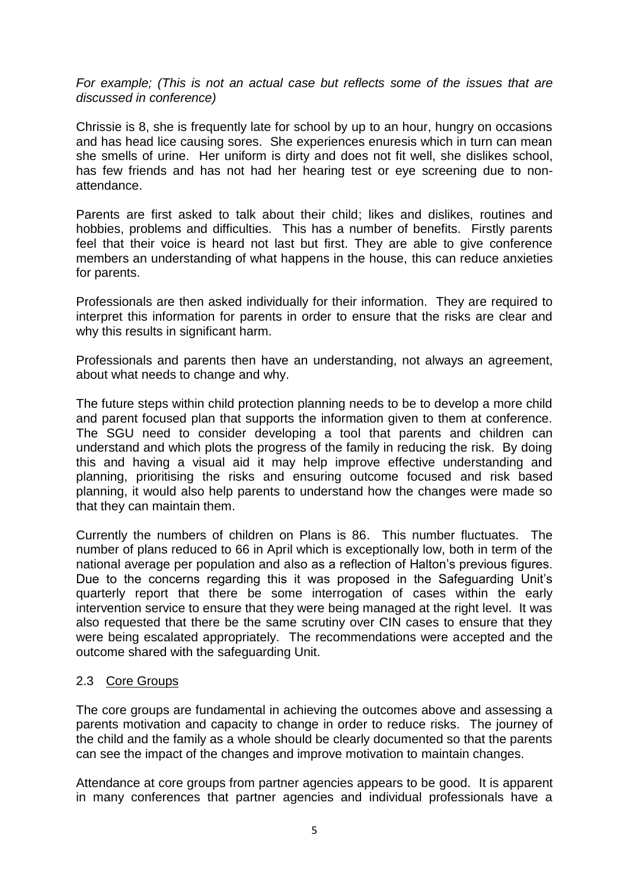*For example; (This is not an actual case but reflects some of the issues that are discussed in conference)*

Chrissie is 8, she is frequently late for school by up to an hour, hungry on occasions and has head lice causing sores. She experiences enuresis which in turn can mean she smells of urine. Her uniform is dirty and does not fit well, she dislikes school, has few friends and has not had her hearing test or eye screening due to nonattendance.

Parents are first asked to talk about their child; likes and dislikes, routines and hobbies, problems and difficulties. This has a number of benefits. Firstly parents feel that their voice is heard not last but first. They are able to give conference members an understanding of what happens in the house, this can reduce anxieties for parents.

Professionals are then asked individually for their information. They are required to interpret this information for parents in order to ensure that the risks are clear and why this results in significant harm.

Professionals and parents then have an understanding, not always an agreement, about what needs to change and why.

The future steps within child protection planning needs to be to develop a more child and parent focused plan that supports the information given to them at conference. The SGU need to consider developing a tool that parents and children can understand and which plots the progress of the family in reducing the risk. By doing this and having a visual aid it may help improve effective understanding and planning, prioritising the risks and ensuring outcome focused and risk based planning, it would also help parents to understand how the changes were made so that they can maintain them.

Currently the numbers of children on Plans is 86. This number fluctuates. The number of plans reduced to 66 in April which is exceptionally low, both in term of the national average per population and also as a reflection of Halton's previous figures. Due to the concerns regarding this it was proposed in the Safeguarding Unit's quarterly report that there be some interrogation of cases within the early intervention service to ensure that they were being managed at the right level. It was also requested that there be the same scrutiny over CIN cases to ensure that they were being escalated appropriately. The recommendations were accepted and the outcome shared with the safeguarding Unit.

#### 2.3 Core Groups

The core groups are fundamental in achieving the outcomes above and assessing a parents motivation and capacity to change in order to reduce risks. The journey of the child and the family as a whole should be clearly documented so that the parents can see the impact of the changes and improve motivation to maintain changes.

Attendance at core groups from partner agencies appears to be good. It is apparent in many conferences that partner agencies and individual professionals have a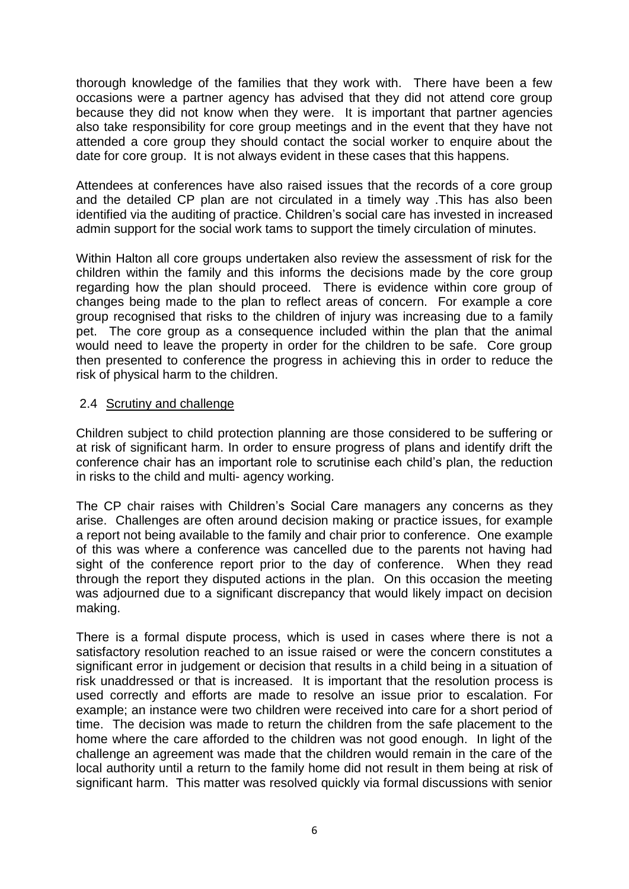thorough knowledge of the families that they work with. There have been a few occasions were a partner agency has advised that they did not attend core group because they did not know when they were. It is important that partner agencies also take responsibility for core group meetings and in the event that they have not attended a core group they should contact the social worker to enquire about the date for core group. It is not always evident in these cases that this happens.

Attendees at conferences have also raised issues that the records of a core group and the detailed CP plan are not circulated in a timely way .This has also been identified via the auditing of practice. Children's social care has invested in increased admin support for the social work tams to support the timely circulation of minutes.

Within Halton all core groups undertaken also review the assessment of risk for the children within the family and this informs the decisions made by the core group regarding how the plan should proceed. There is evidence within core group of changes being made to the plan to reflect areas of concern. For example a core group recognised that risks to the children of injury was increasing due to a family pet. The core group as a consequence included within the plan that the animal would need to leave the property in order for the children to be safe. Core group then presented to conference the progress in achieving this in order to reduce the risk of physical harm to the children.

#### 2.4 Scrutiny and challenge

Children subject to child protection planning are those considered to be suffering or at risk of significant harm. In order to ensure progress of plans and identify drift the conference chair has an important role to scrutinise each child's plan, the reduction in risks to the child and multi- agency working.

The CP chair raises with Children's Social Care managers any concerns as they arise. Challenges are often around decision making or practice issues, for example a report not being available to the family and chair prior to conference. One example of this was where a conference was cancelled due to the parents not having had sight of the conference report prior to the day of conference. When they read through the report they disputed actions in the plan. On this occasion the meeting was adjourned due to a significant discrepancy that would likely impact on decision making.

There is a formal dispute process, which is used in cases where there is not a satisfactory resolution reached to an issue raised or were the concern constitutes a significant error in judgement or decision that results in a child being in a situation of risk unaddressed or that is increased. It is important that the resolution process is used correctly and efforts are made to resolve an issue prior to escalation. For example; an instance were two children were received into care for a short period of time. The decision was made to return the children from the safe placement to the home where the care afforded to the children was not good enough. In light of the challenge an agreement was made that the children would remain in the care of the local authority until a return to the family home did not result in them being at risk of significant harm. This matter was resolved quickly via formal discussions with senior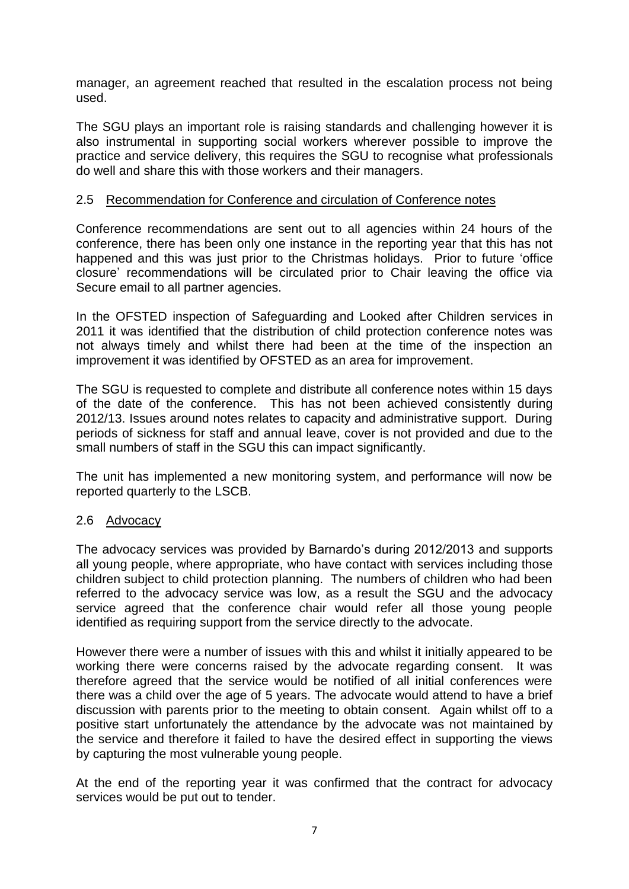manager, an agreement reached that resulted in the escalation process not being used.

The SGU plays an important role is raising standards and challenging however it is also instrumental in supporting social workers wherever possible to improve the practice and service delivery, this requires the SGU to recognise what professionals do well and share this with those workers and their managers.

#### 2.5 Recommendation for Conference and circulation of Conference notes

Conference recommendations are sent out to all agencies within 24 hours of the conference, there has been only one instance in the reporting year that this has not happened and this was just prior to the Christmas holidays. Prior to future 'office closure' recommendations will be circulated prior to Chair leaving the office via Secure email to all partner agencies.

In the OFSTED inspection of Safeguarding and Looked after Children services in 2011 it was identified that the distribution of child protection conference notes was not always timely and whilst there had been at the time of the inspection an improvement it was identified by OFSTED as an area for improvement.

The SGU is requested to complete and distribute all conference notes within 15 days of the date of the conference. This has not been achieved consistently during 2012/13. Issues around notes relates to capacity and administrative support. During periods of sickness for staff and annual leave, cover is not provided and due to the small numbers of staff in the SGU this can impact significantly.

The unit has implemented a new monitoring system, and performance will now be reported quarterly to the LSCB.

#### 2.6 Advocacy

The advocacy services was provided by Barnardo's during 2012/2013 and supports all young people, where appropriate, who have contact with services including those children subject to child protection planning. The numbers of children who had been referred to the advocacy service was low, as a result the SGU and the advocacy service agreed that the conference chair would refer all those young people identified as requiring support from the service directly to the advocate.

However there were a number of issues with this and whilst it initially appeared to be working there were concerns raised by the advocate regarding consent. It was therefore agreed that the service would be notified of all initial conferences were there was a child over the age of 5 years. The advocate would attend to have a brief discussion with parents prior to the meeting to obtain consent. Again whilst off to a positive start unfortunately the attendance by the advocate was not maintained by the service and therefore it failed to have the desired effect in supporting the views by capturing the most vulnerable young people.

At the end of the reporting year it was confirmed that the contract for advocacy services would be put out to tender.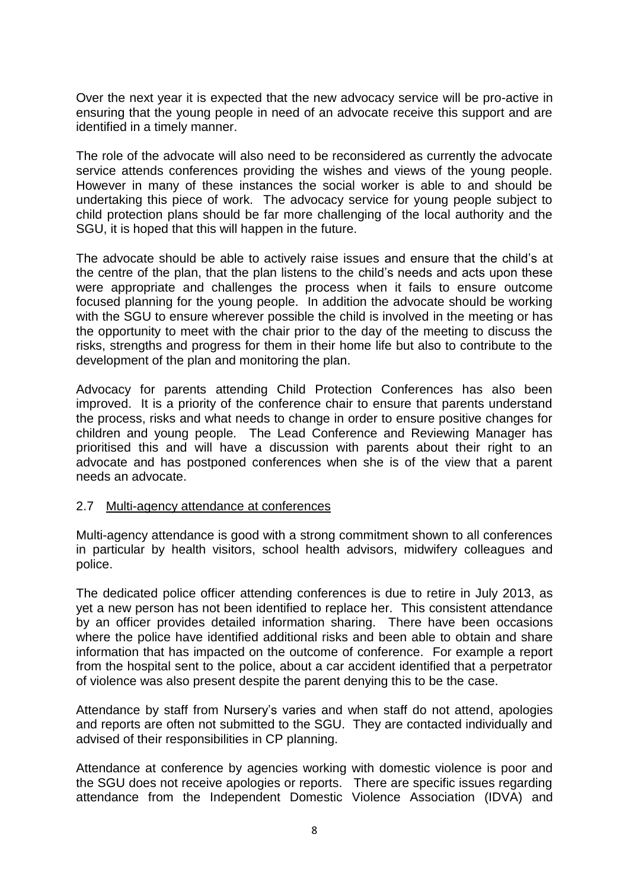Over the next year it is expected that the new advocacy service will be pro-active in ensuring that the young people in need of an advocate receive this support and are identified in a timely manner.

The role of the advocate will also need to be reconsidered as currently the advocate service attends conferences providing the wishes and views of the young people. However in many of these instances the social worker is able to and should be undertaking this piece of work. The advocacy service for young people subject to child protection plans should be far more challenging of the local authority and the SGU, it is hoped that this will happen in the future.

The advocate should be able to actively raise issues and ensure that the child's at the centre of the plan, that the plan listens to the child's needs and acts upon these were appropriate and challenges the process when it fails to ensure outcome focused planning for the young people. In addition the advocate should be working with the SGU to ensure wherever possible the child is involved in the meeting or has the opportunity to meet with the chair prior to the day of the meeting to discuss the risks, strengths and progress for them in their home life but also to contribute to the development of the plan and monitoring the plan.

Advocacy for parents attending Child Protection Conferences has also been improved. It is a priority of the conference chair to ensure that parents understand the process, risks and what needs to change in order to ensure positive changes for children and young people. The Lead Conference and Reviewing Manager has prioritised this and will have a discussion with parents about their right to an advocate and has postponed conferences when she is of the view that a parent needs an advocate.

#### 2.7 Multi-agency attendance at conferences

Multi-agency attendance is good with a strong commitment shown to all conferences in particular by health visitors, school health advisors, midwifery colleagues and police.

The dedicated police officer attending conferences is due to retire in July 2013, as yet a new person has not been identified to replace her. This consistent attendance by an officer provides detailed information sharing. There have been occasions where the police have identified additional risks and been able to obtain and share information that has impacted on the outcome of conference. For example a report from the hospital sent to the police, about a car accident identified that a perpetrator of violence was also present despite the parent denying this to be the case.

Attendance by staff from Nursery's varies and when staff do not attend, apologies and reports are often not submitted to the SGU. They are contacted individually and advised of their responsibilities in CP planning.

Attendance at conference by agencies working with domestic violence is poor and the SGU does not receive apologies or reports. There are specific issues regarding attendance from the Independent Domestic Violence Association (IDVA) and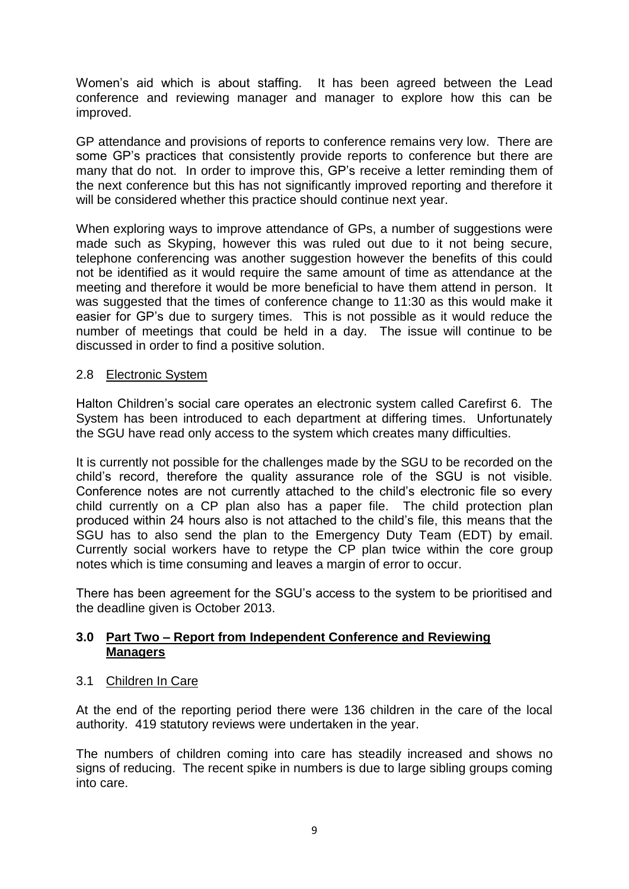Women's aid which is about staffing. It has been agreed between the Lead conference and reviewing manager and manager to explore how this can be improved.

GP attendance and provisions of reports to conference remains very low. There are some GP's practices that consistently provide reports to conference but there are many that do not. In order to improve this, GP's receive a letter reminding them of the next conference but this has not significantly improved reporting and therefore it will be considered whether this practice should continue next year.

When exploring ways to improve attendance of GPs, a number of suggestions were made such as Skyping, however this was ruled out due to it not being secure, telephone conferencing was another suggestion however the benefits of this could not be identified as it would require the same amount of time as attendance at the meeting and therefore it would be more beneficial to have them attend in person. It was suggested that the times of conference change to 11:30 as this would make it easier for GP's due to surgery times. This is not possible as it would reduce the number of meetings that could be held in a day. The issue will continue to be discussed in order to find a positive solution.

## 2.8 Electronic System

Halton Children's social care operates an electronic system called Carefirst 6. The System has been introduced to each department at differing times. Unfortunately the SGU have read only access to the system which creates many difficulties.

It is currently not possible for the challenges made by the SGU to be recorded on the child's record, therefore the quality assurance role of the SGU is not visible. Conference notes are not currently attached to the child's electronic file so every child currently on a CP plan also has a paper file. The child protection plan produced within 24 hours also is not attached to the child's file, this means that the SGU has to also send the plan to the Emergency Duty Team (EDT) by email. Currently social workers have to retype the CP plan twice within the core group notes which is time consuming and leaves a margin of error to occur.

There has been agreement for the SGU's access to the system to be prioritised and the deadline given is October 2013.

## **3.0 Part Two – Report from Independent Conference and Reviewing Managers**

#### 3.1 Children In Care

At the end of the reporting period there were 136 children in the care of the local authority. 419 statutory reviews were undertaken in the year.

The numbers of children coming into care has steadily increased and shows no signs of reducing. The recent spike in numbers is due to large sibling groups coming into care.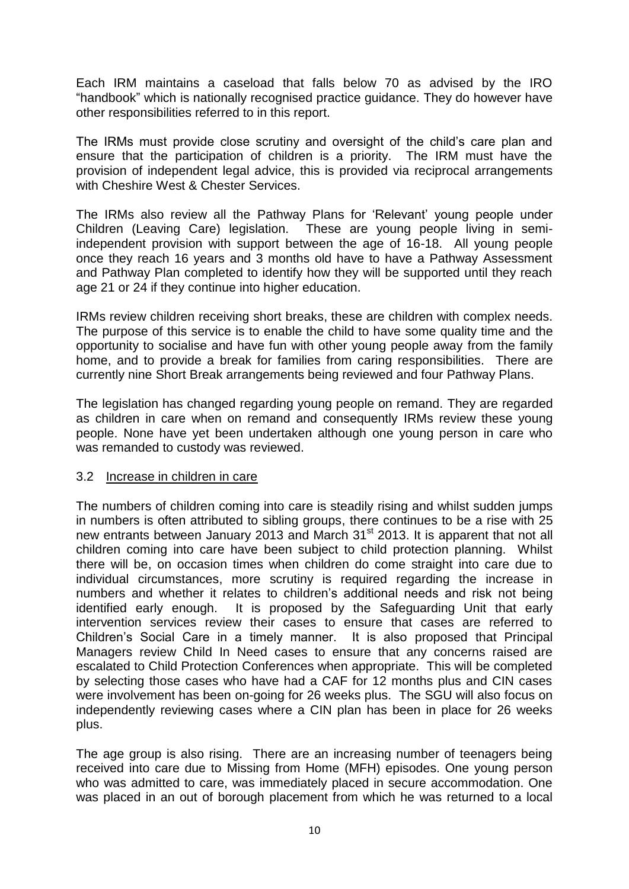Each IRM maintains a caseload that falls below 70 as advised by the IRO "handbook" which is nationally recognised practice guidance. They do however have other responsibilities referred to in this report.

The IRMs must provide close scrutiny and oversight of the child's care plan and ensure that the participation of children is a priority. The IRM must have the provision of independent legal advice, this is provided via reciprocal arrangements with Cheshire West & Chester Services.

The IRMs also review all the Pathway Plans for 'Relevant' young people under Children (Leaving Care) legislation. These are young people living in semiindependent provision with support between the age of 16-18. All young people once they reach 16 years and 3 months old have to have a Pathway Assessment and Pathway Plan completed to identify how they will be supported until they reach age 21 or 24 if they continue into higher education.

IRMs review children receiving short breaks, these are children with complex needs. The purpose of this service is to enable the child to have some quality time and the opportunity to socialise and have fun with other young people away from the family home, and to provide a break for families from caring responsibilities. There are currently nine Short Break arrangements being reviewed and four Pathway Plans.

The legislation has changed regarding young people on remand. They are regarded as children in care when on remand and consequently IRMs review these young people. None have yet been undertaken although one young person in care who was remanded to custody was reviewed.

#### 3.2 Increase in children in care

The numbers of children coming into care is steadily rising and whilst sudden jumps in numbers is often attributed to sibling groups, there continues to be a rise with 25 new entrants between January 2013 and March 31<sup>st</sup> 2013. It is apparent that not all children coming into care have been subject to child protection planning. Whilst there will be, on occasion times when children do come straight into care due to individual circumstances, more scrutiny is required regarding the increase in numbers and whether it relates to children's additional needs and risk not being identified early enough. It is proposed by the Safeguarding Unit that early intervention services review their cases to ensure that cases are referred to Children's Social Care in a timely manner. It is also proposed that Principal Managers review Child In Need cases to ensure that any concerns raised are escalated to Child Protection Conferences when appropriate. This will be completed by selecting those cases who have had a CAF for 12 months plus and CIN cases were involvement has been on-going for 26 weeks plus. The SGU will also focus on independently reviewing cases where a CIN plan has been in place for 26 weeks plus.

The age group is also rising. There are an increasing number of teenagers being received into care due to Missing from Home (MFH) episodes. One young person who was admitted to care, was immediately placed in secure accommodation. One was placed in an out of borough placement from which he was returned to a local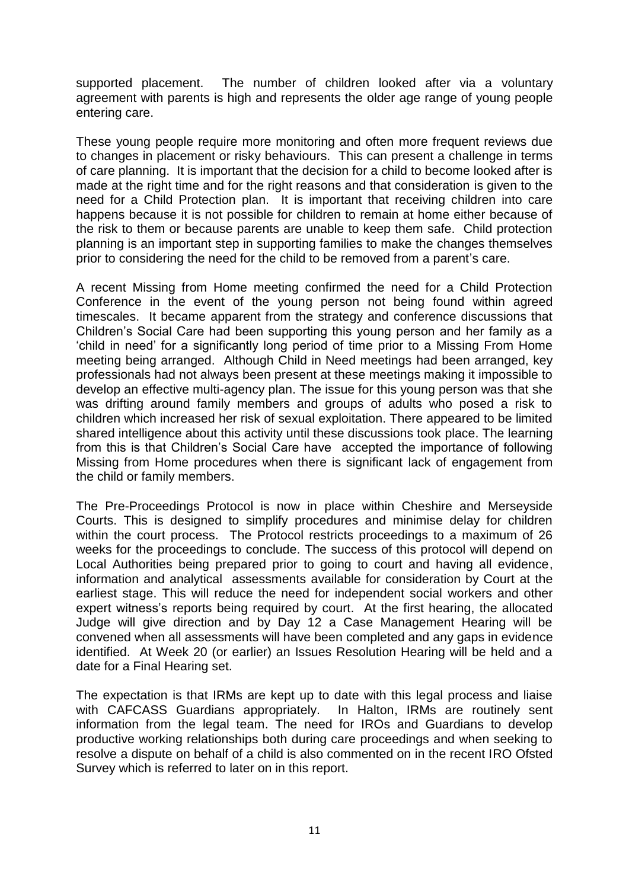supported placement. The number of children looked after via a voluntary agreement with parents is high and represents the older age range of young people entering care.

These young people require more monitoring and often more frequent reviews due to changes in placement or risky behaviours. This can present a challenge in terms of care planning. It is important that the decision for a child to become looked after is made at the right time and for the right reasons and that consideration is given to the need for a Child Protection plan. It is important that receiving children into care happens because it is not possible for children to remain at home either because of the risk to them or because parents are unable to keep them safe. Child protection planning is an important step in supporting families to make the changes themselves prior to considering the need for the child to be removed from a parent's care.

A recent Missing from Home meeting confirmed the need for a Child Protection Conference in the event of the young person not being found within agreed timescales. It became apparent from the strategy and conference discussions that Children's Social Care had been supporting this young person and her family as a 'child in need' for a significantly long period of time prior to a Missing From Home meeting being arranged. Although Child in Need meetings had been arranged, key professionals had not always been present at these meetings making it impossible to develop an effective multi-agency plan. The issue for this young person was that she was drifting around family members and groups of adults who posed a risk to children which increased her risk of sexual exploitation. There appeared to be limited shared intelligence about this activity until these discussions took place. The learning from this is that Children's Social Care have accepted the importance of following Missing from Home procedures when there is significant lack of engagement from the child or family members.

The Pre-Proceedings Protocol is now in place within Cheshire and Merseyside Courts. This is designed to simplify procedures and minimise delay for children within the court process. The Protocol restricts proceedings to a maximum of 26 weeks for the proceedings to conclude. The success of this protocol will depend on Local Authorities being prepared prior to going to court and having all evidence, information and analytical assessments available for consideration by Court at the earliest stage. This will reduce the need for independent social workers and other expert witness's reports being required by court. At the first hearing, the allocated Judge will give direction and by Day 12 a Case Management Hearing will be convened when all assessments will have been completed and any gaps in evidence identified. At Week 20 (or earlier) an Issues Resolution Hearing will be held and a date for a Final Hearing set.

The expectation is that IRMs are kept up to date with this legal process and liaise with CAFCASS Guardians appropriately. In Halton, IRMs are routinely sent information from the legal team. The need for IROs and Guardians to develop productive working relationships both during care proceedings and when seeking to resolve a dispute on behalf of a child is also commented on in the recent IRO Ofsted Survey which is referred to later on in this report.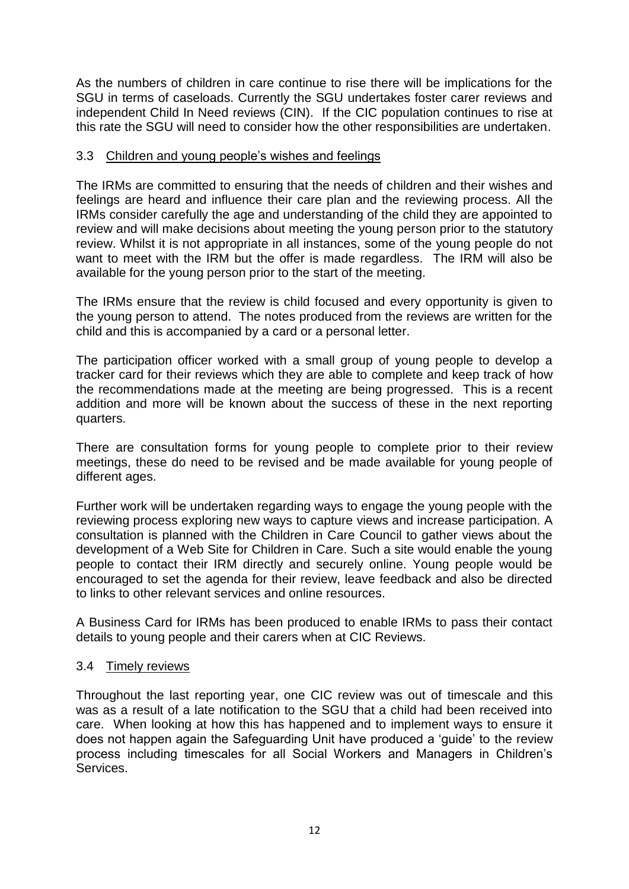As the numbers of children in care continue to rise there will be implications for the SGU in terms of caseloads. Currently the SGU undertakes foster carer reviews and independent Child In Need reviews (CIN). If the CIC population continues to rise at this rate the SGU will need to consider how the other responsibilities are undertaken.

#### 3.3 Children and young people's wishes and feelings

The IRMs are committed to ensuring that the needs of children and their wishes and feelings are heard and influence their care plan and the reviewing process. All the IRMs consider carefully the age and understanding of the child they are appointed to review and will make decisions about meeting the young person prior to the statutory review. Whilst it is not appropriate in all instances, some of the young people do not want to meet with the IRM but the offer is made regardless. The IRM will also be available for the young person prior to the start of the meeting.

The IRMs ensure that the review is child focused and every opportunity is given to the young person to attend. The notes produced from the reviews are written for the child and this is accompanied by a card or a personal letter.

The participation officer worked with a small group of young people to develop a tracker card for their reviews which they are able to complete and keep track of how the recommendations made at the meeting are being progressed. This is a recent addition and more will be known about the success of these in the next reporting quarters.

There are consultation forms for young people to complete prior to their review meetings, these do need to be revised and be made available for young people of different ages.

Further work will be undertaken regarding ways to engage the young people with the reviewing process exploring new ways to capture views and increase participation. A consultation is planned with the Children in Care Council to gather views about the development of a Web Site for Children in Care. Such a site would enable the young people to contact their IRM directly and securely online. Young people would be encouraged to set the agenda for their review, leave feedback and also be directed to links to other relevant services and online resources.

A Business Card for IRMs has been produced to enable IRMs to pass their contact details to young people and their carers when at CIC Reviews.

#### 3.4 Timely reviews

Throughout the last reporting year, one CIC review was out of timescale and this was as a result of a late notification to the SGU that a child had been received into care. When looking at how this has happened and to implement ways to ensure it does not happen again the Safeguarding Unit have produced a 'guide' to the review process including timescales for all Social Workers and Managers in Children's Services.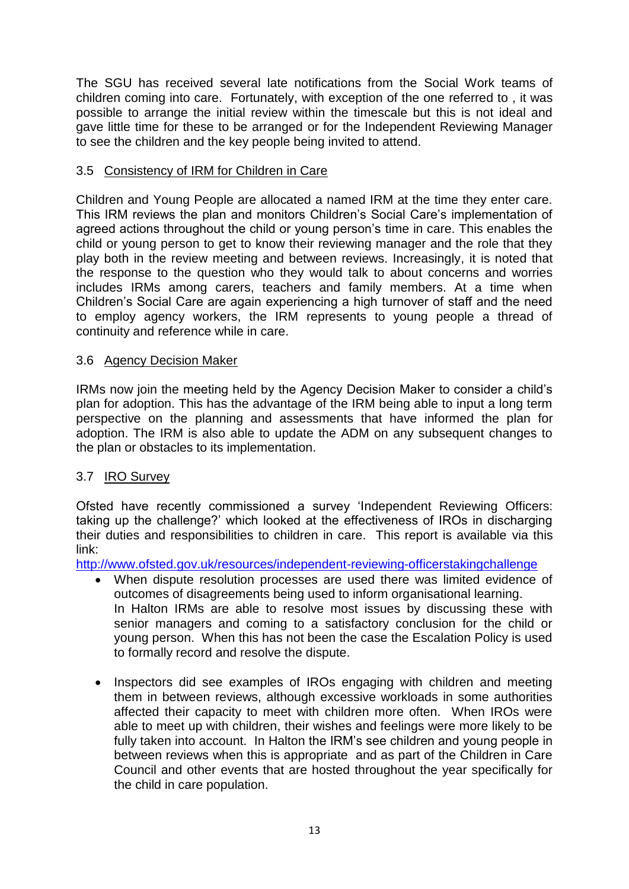The SGU has received several late notifications from the Social Work teams of children coming into care. Fortunately, with exception of the one referred to , it was possible to arrange the initial review within the timescale but this is not ideal and gave little time for these to be arranged or for the Independent Reviewing Manager to see the children and the key people being invited to attend.

## 3.5 Consistency of IRM for Children in Care

Children and Young People are allocated a named IRM at the time they enter care. This IRM reviews the plan and monitors Children's Social Care's implementation of agreed actions throughout the child or young person's time in care. This enables the child or young person to get to know their reviewing manager and the role that they play both in the review meeting and between reviews. Increasingly, it is noted that the response to the question who they would talk to about concerns and worries includes IRMs among carers, teachers and family members. At a time when Children's Social Care are again experiencing a high turnover of staff and the need to employ agency workers, the IRM represents to young people a thread of continuity and reference while in care.

## 3.6 Agency Decision Maker

IRMs now join the meeting held by the Agency Decision Maker to consider a child's plan for adoption. This has the advantage of the IRM being able to input a long term perspective on the planning and assessments that have informed the plan for adoption. The IRM is also able to update the ADM on any subsequent changes to the plan or obstacles to its implementation.

## 3.7 IRO Survey

Ofsted have recently commissioned a survey 'Independent Reviewing Officers: taking up the challenge?' which looked at the effectiveness of IROs in discharging their duties and responsibilities to children in care. This report is available via this link:

<http://www.ofsted.gov.uk/resources/independent-reviewing-officerstakingchallenge>

- When dispute resolution processes are used there was limited evidence of outcomes of disagreements being used to inform organisational learning. In Halton IRMs are able to resolve most issues by discussing these with senior managers and coming to a satisfactory conclusion for the child or young person. When this has not been the case the Escalation Policy is used to formally record and resolve the dispute.
- Inspectors did see examples of IROs engaging with children and meeting them in between reviews, although excessive workloads in some authorities affected their capacity to meet with children more often. When IROs were able to meet up with children, their wishes and feelings were more likely to be fully taken into account. In Halton the IRM's see children and young people in between reviews when this is appropriate and as part of the Children in Care Council and other events that are hosted throughout the year specifically for the child in care population.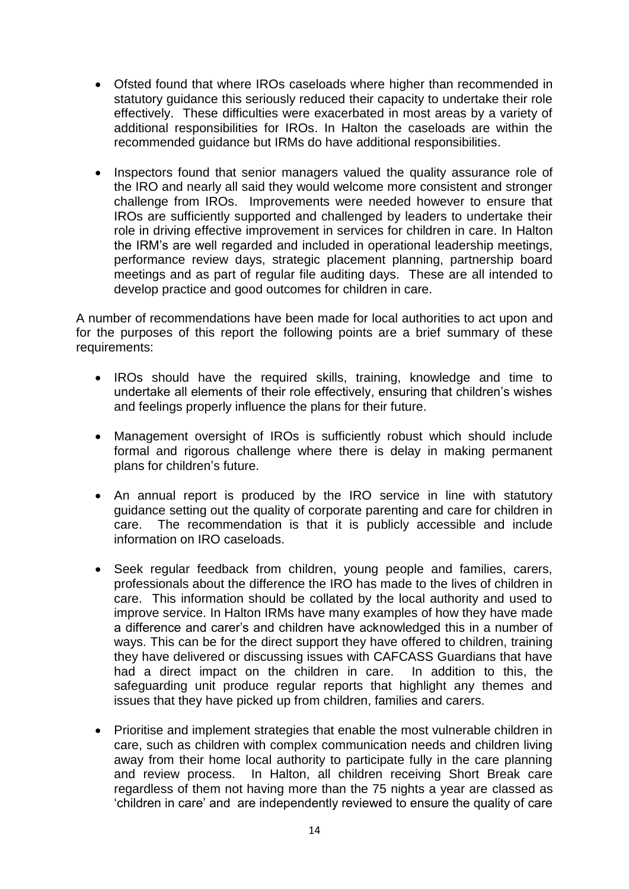- Ofsted found that where IROs caseloads where higher than recommended in statutory guidance this seriously reduced their capacity to undertake their role effectively. These difficulties were exacerbated in most areas by a variety of additional responsibilities for IROs. In Halton the caseloads are within the recommended guidance but IRMs do have additional responsibilities.
- Inspectors found that senior managers valued the quality assurance role of the IRO and nearly all said they would welcome more consistent and stronger challenge from IROs. Improvements were needed however to ensure that IROs are sufficiently supported and challenged by leaders to undertake their role in driving effective improvement in services for children in care. In Halton the IRM's are well regarded and included in operational leadership meetings, performance review days, strategic placement planning, partnership board meetings and as part of regular file auditing days. These are all intended to develop practice and good outcomes for children in care.

A number of recommendations have been made for local authorities to act upon and for the purposes of this report the following points are a brief summary of these requirements:

- IROs should have the required skills, training, knowledge and time to undertake all elements of their role effectively, ensuring that children's wishes and feelings properly influence the plans for their future.
- Management oversight of IROs is sufficiently robust which should include formal and rigorous challenge where there is delay in making permanent plans for children's future.
- An annual report is produced by the IRO service in line with statutory guidance setting out the quality of corporate parenting and care for children in care. The recommendation is that it is publicly accessible and include information on IRO caseloads.
- Seek regular feedback from children, young people and families, carers, professionals about the difference the IRO has made to the lives of children in care. This information should be collated by the local authority and used to improve service. In Halton IRMs have many examples of how they have made a difference and carer's and children have acknowledged this in a number of ways. This can be for the direct support they have offered to children, training they have delivered or discussing issues with CAFCASS Guardians that have had a direct impact on the children in care. In addition to this, the safeguarding unit produce regular reports that highlight any themes and issues that they have picked up from children, families and carers.
- Prioritise and implement strategies that enable the most vulnerable children in care, such as children with complex communication needs and children living away from their home local authority to participate fully in the care planning and review process. In Halton, all children receiving Short Break care regardless of them not having more than the 75 nights a year are classed as 'children in care' and are independently reviewed to ensure the quality of care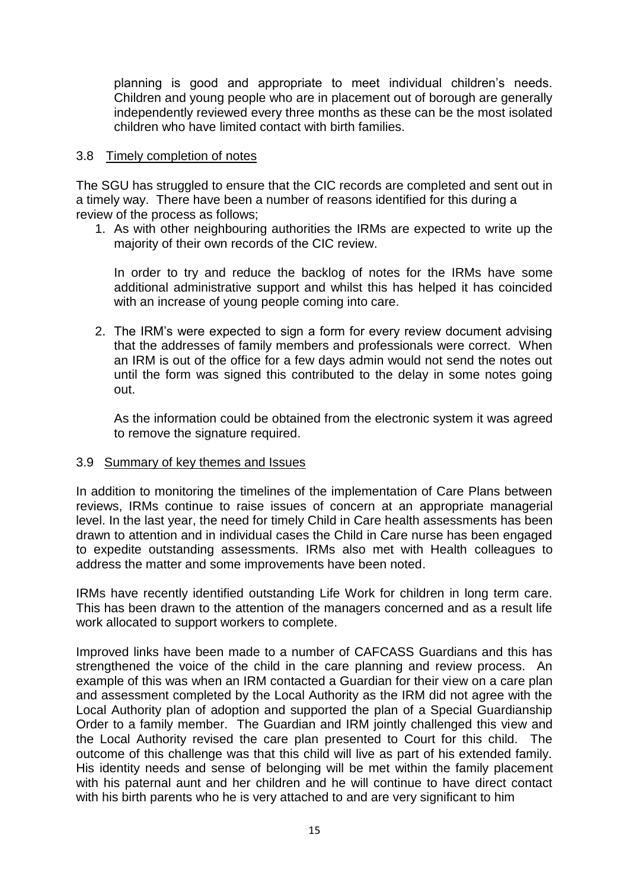planning is good and appropriate to meet individual children's needs. Children and young people who are in placement out of borough are generally independently reviewed every three months as these can be the most isolated children who have limited contact with birth families.

#### 3.8 Timely completion of notes

The SGU has struggled to ensure that the CIC records are completed and sent out in a timely way. There have been a number of reasons identified for this during a review of the process as follows;

1. As with other neighbouring authorities the IRMs are expected to write up the majority of their own records of the CIC review.

In order to try and reduce the backlog of notes for the IRMs have some additional administrative support and whilst this has helped it has coincided with an increase of young people coming into care.

2. The IRM's were expected to sign a form for every review document advising that the addresses of family members and professionals were correct. When an IRM is out of the office for a few days admin would not send the notes out until the form was signed this contributed to the delay in some notes going out.

As the information could be obtained from the electronic system it was agreed to remove the signature required.

#### 3.9 Summary of key themes and Issues

In addition to monitoring the timelines of the implementation of Care Plans between reviews, IRMs continue to raise issues of concern at an appropriate managerial level. In the last year, the need for timely Child in Care health assessments has been drawn to attention and in individual cases the Child in Care nurse has been engaged to expedite outstanding assessments. IRMs also met with Health colleagues to address the matter and some improvements have been noted.

IRMs have recently identified outstanding Life Work for children in long term care. This has been drawn to the attention of the managers concerned and as a result life work allocated to support workers to complete.

Improved links have been made to a number of CAFCASS Guardians and this has strengthened the voice of the child in the care planning and review process. An example of this was when an IRM contacted a Guardian for their view on a care plan and assessment completed by the Local Authority as the IRM did not agree with the Local Authority plan of adoption and supported the plan of a Special Guardianship Order to a family member. The Guardian and IRM jointly challenged this view and the Local Authority revised the care plan presented to Court for this child. The outcome of this challenge was that this child will live as part of his extended family. His identity needs and sense of belonging will be met within the family placement with his paternal aunt and her children and he will continue to have direct contact with his birth parents who he is very attached to and are very significant to him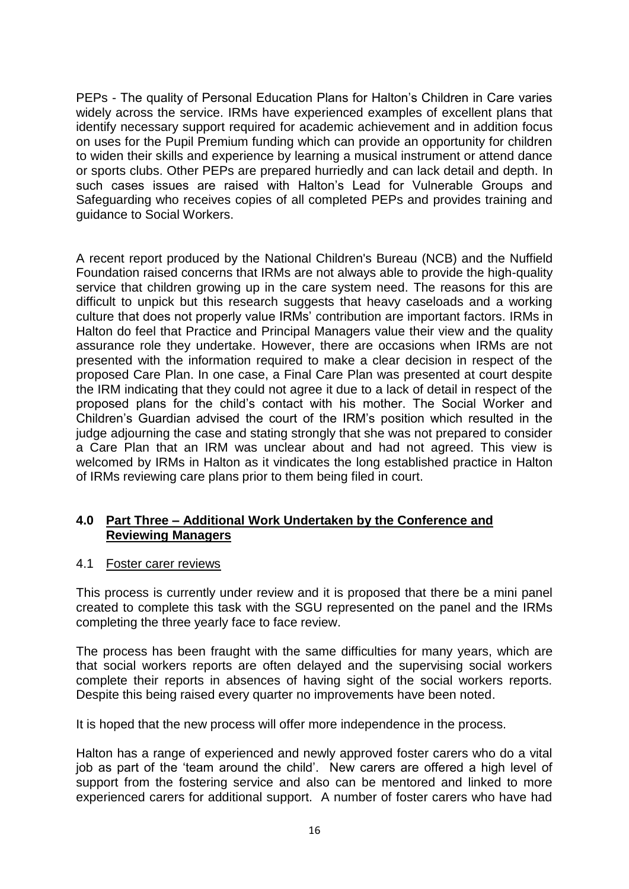PEPs - The quality of Personal Education Plans for Halton's Children in Care varies widely across the service. IRMs have experienced examples of excellent plans that identify necessary support required for academic achievement and in addition focus on uses for the Pupil Premium funding which can provide an opportunity for children to widen their skills and experience by learning a musical instrument or attend dance or sports clubs. Other PEPs are prepared hurriedly and can lack detail and depth. In such cases issues are raised with Halton's Lead for Vulnerable Groups and Safeguarding who receives copies of all completed PEPs and provides training and guidance to Social Workers.

A recent report produced by the National Children's Bureau (NCB) and the Nuffield Foundation raised concerns that IRMs are not always able to provide the high-quality service that children growing up in the care system need. The reasons for this are difficult to unpick but this research suggests that heavy caseloads and a working culture that does not properly value IRMs' contribution are important factors. IRMs in Halton do feel that Practice and Principal Managers value their view and the quality assurance role they undertake. However, there are occasions when IRMs are not presented with the information required to make a clear decision in respect of the proposed Care Plan. In one case, a Final Care Plan was presented at court despite the IRM indicating that they could not agree it due to a lack of detail in respect of the proposed plans for the child's contact with his mother. The Social Worker and Children's Guardian advised the court of the IRM's position which resulted in the judge adjourning the case and stating strongly that she was not prepared to consider a Care Plan that an IRM was unclear about and had not agreed. This view is welcomed by IRMs in Halton as it vindicates the long established practice in Halton of IRMs reviewing care plans prior to them being filed in court.

## **4.0 Part Three – Additional Work Undertaken by the Conference and Reviewing Managers**

#### 4.1 Foster carer reviews

This process is currently under review and it is proposed that there be a mini panel created to complete this task with the SGU represented on the panel and the IRMs completing the three yearly face to face review.

The process has been fraught with the same difficulties for many years, which are that social workers reports are often delayed and the supervising social workers complete their reports in absences of having sight of the social workers reports. Despite this being raised every quarter no improvements have been noted.

It is hoped that the new process will offer more independence in the process.

Halton has a range of experienced and newly approved foster carers who do a vital job as part of the 'team around the child'. New carers are offered a high level of support from the fostering service and also can be mentored and linked to more experienced carers for additional support. A number of foster carers who have had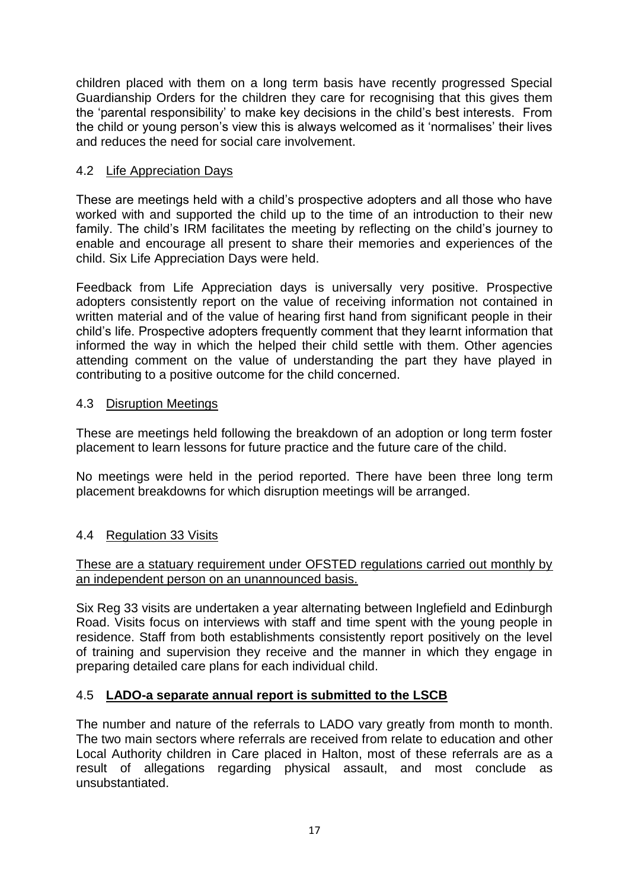children placed with them on a long term basis have recently progressed Special Guardianship Orders for the children they care for recognising that this gives them the 'parental responsibility' to make key decisions in the child's best interests. From the child or young person's view this is always welcomed as it 'normalises' their lives and reduces the need for social care involvement.

## 4.2 Life Appreciation Days

These are meetings held with a child's prospective adopters and all those who have worked with and supported the child up to the time of an introduction to their new family. The child's IRM facilitates the meeting by reflecting on the child's journey to enable and encourage all present to share their memories and experiences of the child. Six Life Appreciation Days were held.

Feedback from Life Appreciation days is universally very positive. Prospective adopters consistently report on the value of receiving information not contained in written material and of the value of hearing first hand from significant people in their child's life. Prospective adopters frequently comment that they learnt information that informed the way in which the helped their child settle with them. Other agencies attending comment on the value of understanding the part they have played in contributing to a positive outcome for the child concerned.

## 4.3 Disruption Meetings

These are meetings held following the breakdown of an adoption or long term foster placement to learn lessons for future practice and the future care of the child.

No meetings were held in the period reported. There have been three long term placement breakdowns for which disruption meetings will be arranged.

## 4.4 Regulation 33 Visits

## These are a statuary requirement under OFSTED regulations carried out monthly by an independent person on an unannounced basis.

Six Reg 33 visits are undertaken a year alternating between Inglefield and Edinburgh Road. Visits focus on interviews with staff and time spent with the young people in residence. Staff from both establishments consistently report positively on the level of training and supervision they receive and the manner in which they engage in preparing detailed care plans for each individual child.

## 4.5 **LADO-a separate annual report is submitted to the LSCB**

The number and nature of the referrals to LADO vary greatly from month to month. The two main sectors where referrals are received from relate to education and other Local Authority children in Care placed in Halton, most of these referrals are as a result of allegations regarding physical assault, and most conclude as unsubstantiated.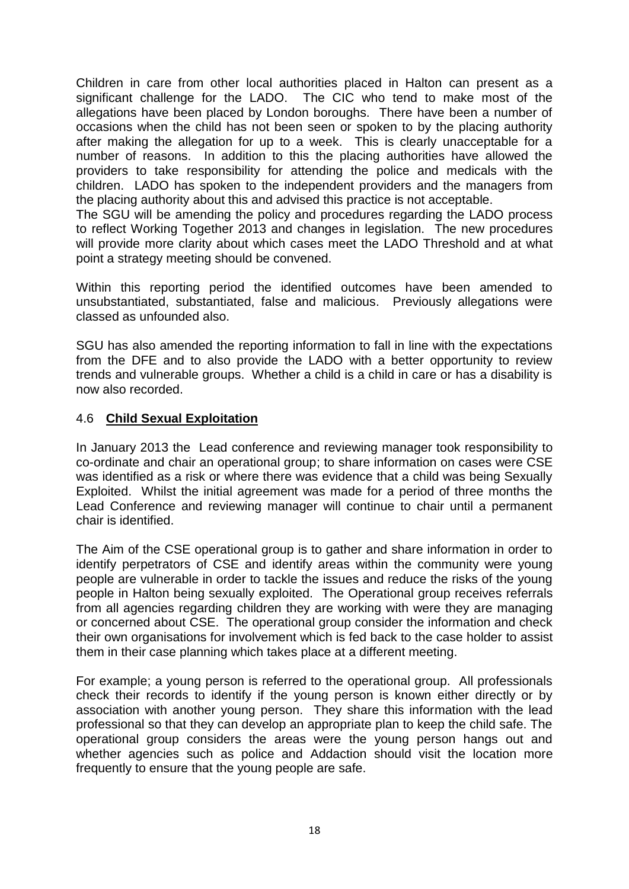Children in care from other local authorities placed in Halton can present as a significant challenge for the LADO. The CIC who tend to make most of the allegations have been placed by London boroughs. There have been a number of occasions when the child has not been seen or spoken to by the placing authority after making the allegation for up to a week. This is clearly unacceptable for a number of reasons. In addition to this the placing authorities have allowed the providers to take responsibility for attending the police and medicals with the children. LADO has spoken to the independent providers and the managers from the placing authority about this and advised this practice is not acceptable.

The SGU will be amending the policy and procedures regarding the LADO process to reflect Working Together 2013 and changes in legislation. The new procedures will provide more clarity about which cases meet the LADO Threshold and at what point a strategy meeting should be convened.

Within this reporting period the identified outcomes have been amended to unsubstantiated, substantiated, false and malicious. Previously allegations were classed as unfounded also.

SGU has also amended the reporting information to fall in line with the expectations from the DFE and to also provide the LADO with a better opportunity to review trends and vulnerable groups. Whether a child is a child in care or has a disability is now also recorded.

## 4.6 **Child Sexual Exploitation**

In January 2013 the Lead conference and reviewing manager took responsibility to co-ordinate and chair an operational group; to share information on cases were CSE was identified as a risk or where there was evidence that a child was being Sexually Exploited. Whilst the initial agreement was made for a period of three months the Lead Conference and reviewing manager will continue to chair until a permanent chair is identified.

The Aim of the CSE operational group is to gather and share information in order to identify perpetrators of CSE and identify areas within the community were young people are vulnerable in order to tackle the issues and reduce the risks of the young people in Halton being sexually exploited. The Operational group receives referrals from all agencies regarding children they are working with were they are managing or concerned about CSE. The operational group consider the information and check their own organisations for involvement which is fed back to the case holder to assist them in their case planning which takes place at a different meeting.

For example; a young person is referred to the operational group. All professionals check their records to identify if the young person is known either directly or by association with another young person. They share this information with the lead professional so that they can develop an appropriate plan to keep the child safe. The operational group considers the areas were the young person hangs out and whether agencies such as police and Addaction should visit the location more frequently to ensure that the young people are safe.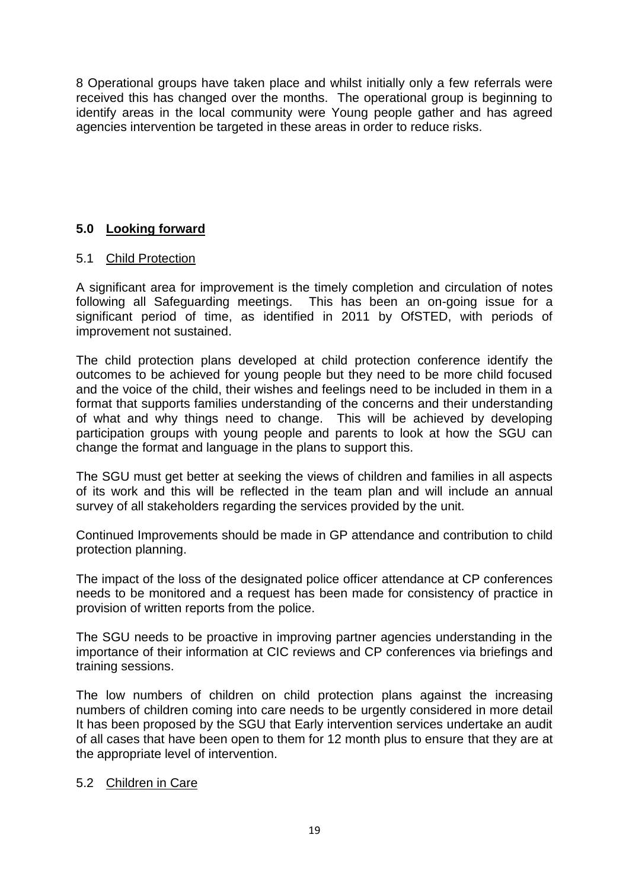8 Operational groups have taken place and whilst initially only a few referrals were received this has changed over the months. The operational group is beginning to identify areas in the local community were Young people gather and has agreed agencies intervention be targeted in these areas in order to reduce risks.

## **5.0 Looking forward**

## 5.1 Child Protection

A significant area for improvement is the timely completion and circulation of notes following all Safeguarding meetings. This has been an on-going issue for a significant period of time, as identified in 2011 by OfSTED, with periods of improvement not sustained.

The child protection plans developed at child protection conference identify the outcomes to be achieved for young people but they need to be more child focused and the voice of the child, their wishes and feelings need to be included in them in a format that supports families understanding of the concerns and their understanding of what and why things need to change. This will be achieved by developing participation groups with young people and parents to look at how the SGU can change the format and language in the plans to support this.

The SGU must get better at seeking the views of children and families in all aspects of its work and this will be reflected in the team plan and will include an annual survey of all stakeholders regarding the services provided by the unit.

Continued Improvements should be made in GP attendance and contribution to child protection planning.

The impact of the loss of the designated police officer attendance at CP conferences needs to be monitored and a request has been made for consistency of practice in provision of written reports from the police.

The SGU needs to be proactive in improving partner agencies understanding in the importance of their information at CIC reviews and CP conferences via briefings and training sessions.

The low numbers of children on child protection plans against the increasing numbers of children coming into care needs to be urgently considered in more detail It has been proposed by the SGU that Early intervention services undertake an audit of all cases that have been open to them for 12 month plus to ensure that they are at the appropriate level of intervention.

## 5.2 Children in Care